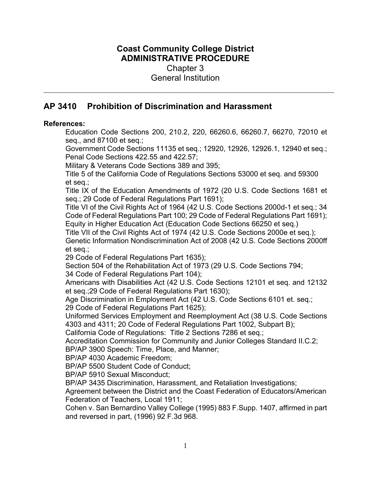# **Coast Community College District ADMINISTRATIVE PROCEDURE** Chapter 3 General Institution

# **AP 3410 Prohibition of Discrimination and Harassment**

#### **References:**

Education Code Sections 200, 210.2, 220, 66260.6, 66260.7, 66270, 72010 et seq., and 87100 et seq.;

Government Code Sections 11135 et seq.; 12920, 12926, 12926.1, 12940 et seq.; Penal Code Sections 422.55 and 422.57;

Military & Veterans Code Sections 389 and 395;

Title 5 of the California Code of Regulations Sections 53000 et seq. and 59300 et seq.;

Title IX of the Education Amendments of 1972 (20 U.S. Code Sections 1681 et seq.; 29 Code of Federal Regulations Part 1691);

Title VI of the Civil Rights Act of 1964 (42 U.S. Code Sections 2000d-1 et seq.; 34 Code of Federal Regulations Part 100; 29 Code of Federal Regulations Part 1691); Equity in Higher Education Act (Education Code Sections 66250 et seq.)

Title VII of the Civil Rights Act of 1974 (42 U.S. Code Sections 2000e et seq.); Genetic Information Nondiscrimination Act of 2008 (42 U.S. Code Sections 2000ff et seq.;

29 Code of Federal Regulations Part 1635);

Section 504 of the Rehabilitation Act of 1973 (29 U.S. Code Sections 794;

34 Code of Federal Regulations Part 104);

Americans with Disabilities Act (42 U.S. Code Sections 12101 et seq. and 12132 et seq.;29 Code of Federal Regulations Part 1630);

Age Discrimination in Employment Act (42 U.S. Code Sections 6101 et. seq.; 29 Code of Federal Regulations Part 1625);

Uniformed Services Employment and Reemployment Act (38 U.S. Code Sections 4303 and 4311; 20 Code of Federal Regulations Part 1002, Subpart B);

California Code of Regulations: Title 2 Sections 7286 et seq.;

Accreditation Commission for Community and Junior Colleges Standard II.C.2; BP/AP 3900 Speech: Time, Place, and Manner;

BP/AP 4030 Academic Freedom;

BP/AP 5500 Student Code of Conduct;

BP/AP 5910 Sexual Misconduct;

BP/AP 3435 Discrimination, Harassment, and Retaliation Investigations;

Agreement between the District and the Coast Federation of Educators/American Federation of Teachers, Local 1911;

Cohen v. San Bernardino Valley College (1995) 883 F.Supp. 1407, affirmed in part and reversed in part, (1996) 92 F.3d 968.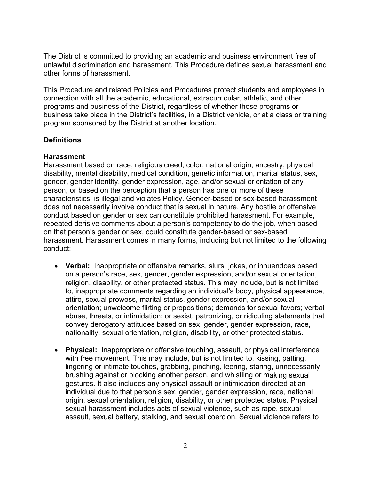The District is committed to providing an academic and business environment free of unlawful discrimination and harassment. This Procedure defines sexual harassment and other forms of harassment.

This Procedure and related Policies and Procedures protect students and employees in connection with all the academic, educational, extracurricular, athletic, and other programs and business of the District, regardless of whether those programs or business take place in the District's facilities, in a District vehicle, or at a class or training program sponsored by the District at another location.

### **Definitions**

### **Harassment**

Harassment based on race, religious creed, color, national origin, ancestry, physical disability, mental disability, medical condition, genetic information, marital status, sex, gender, gender identity, gender expression, age, and/or sexual orientation of any person, or based on the perception that a person has one or more of these characteristics, is illegal and violates Policy. Gender-based or sex-based harassment does not necessarily involve conduct that is sexual in nature. Any hostile or offensive conduct based on gender or sex can constitute prohibited harassment. For example, repeated derisive comments about a person's competency to do the job, when based on that person's gender or sex, could constitute gender-based or sex-based harassment. Harassment comes in many forms, including but not limited to the following conduct:

- **Verbal:** Inappropriate or offensive remarks, slurs, jokes, or innuendoes based on a person's race, sex, gender, gender expression, and/or sexual orientation, religion, disability, or other protected status. This may include, but is not limited to, inappropriate comments regarding an individual's body, physical appearance, attire, sexual prowess, marital status, gender expression, and/or sexual orientation; unwelcome flirting or propositions; demands for sexual favors; verbal abuse, threats, or intimidation; or sexist, patronizing, or ridiculing statements that convey derogatory attitudes based on sex, gender, gender expression, race, nationality, sexual orientation, religion, disability, or other protected status.
- **Physical:** Inappropriate or offensive touching, assault, or physical interference with free movement. This may include, but is not limited to, kissing, patting, lingering or intimate touches, grabbing, pinching, leering, staring, unnecessarily brushing against or blocking another person, and whistling or making sexual gestures. It also includes any physical assault or intimidation directed at an individual due to that person's sex, gender, gender expression, race, national origin, sexual orientation, religion, disability, or other protected status. Physical sexual harassment includes acts of sexual violence, such as rape, sexual assault, sexual battery, stalking, and sexual coercion. Sexual violence refers to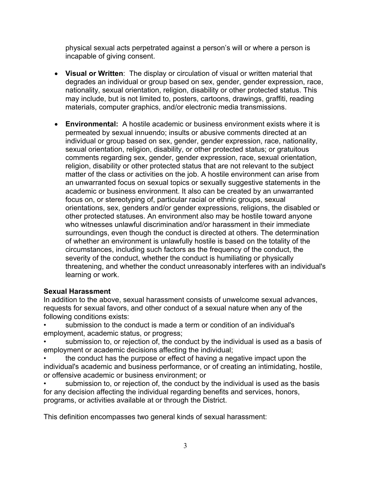physical sexual acts perpetrated against a person's will or where a person is incapable of giving consent.

- **Visual or Written**: The display or circulation of visual or written material that degrades an individual or group based on sex, gender, gender expression, race, nationality, sexual orientation, religion, disability or other protected status. This may include, but is not limited to, posters, cartoons, drawings, graffiti, reading materials, computer graphics, and/or electronic media transmissions.
- **Environmental:** A hostile academic or business environment exists where it is permeated by sexual innuendo; insults or abusive comments directed at an individual or group based on sex, gender, gender expression, race, nationality, sexual orientation, religion, disability, or other protected status; or gratuitous comments regarding sex, gender, gender expression, race, sexual orientation, religion, disability or other protected status that are not relevant to the subject matter of the class or activities on the job. A hostile environment can arise from an unwarranted focus on sexual topics or sexually suggestive statements in the academic or business environment. It also can be created by an unwarranted focus on, or stereotyping of, particular racial or ethnic groups, sexual orientations, sex, genders and/or gender expressions, religions, the disabled or other protected statuses. An environment also may be hostile toward anyone who witnesses unlawful discrimination and/or harassment in their immediate surroundings, even though the conduct is directed at others. The determination of whether an environment is unlawfully hostile is based on the totality of the circumstances, including such factors as the frequency of the conduct, the severity of the conduct, whether the conduct is humiliating or physically threatening, and whether the conduct unreasonably interferes with an individual's learning or work.

## **Sexual Harassment**

In addition to the above, sexual harassment consists of unwelcome sexual advances, requests for sexual favors, and other conduct of a sexual nature when any of the following conditions exists:

- submission to the conduct is made a term or condition of an individual's employment, academic status, or progress;
- submission to, or rejection of, the conduct by the individual is used as a basis of employment or academic decisions affecting the individual;
- the conduct has the purpose or effect of having a negative impact upon the individual's academic and business performance, or of creating an intimidating, hostile, or offensive academic or business environment; or
- submission to, or rejection of, the conduct by the individual is used as the basis for any decision affecting the individual regarding benefits and services, honors, programs, or activities available at or through the District.

This definition encompasses two general kinds of sexual harassment: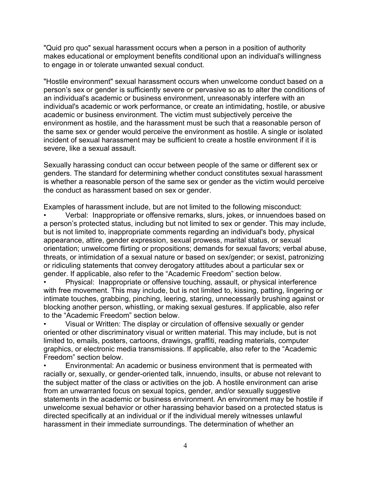"Quid pro quo" sexual harassment occurs when a person in a position of authority makes educational or employment benefits conditional upon an individual's willingness to engage in or tolerate unwanted sexual conduct.

"Hostile environment" sexual harassment occurs when unwelcome conduct based on a person's sex or gender is sufficiently severe or pervasive so as to alter the conditions of an individual's academic or business environment, unreasonably interfere with an individual's academic or work performance, or create an intimidating, hostile, or abusive academic or business environment. The victim must subjectively perceive the environment as hostile, and the harassment must be such that a reasonable person of the same sex or gender would perceive the environment as hostile. A single or isolated incident of sexual harassment may be sufficient to create a hostile environment if it is severe, like a sexual assault.

Sexually harassing conduct can occur between people of the same or different sex or genders. The standard for determining whether conduct constitutes sexual harassment is whether a reasonable person of the same sex or gender as the victim would perceive the conduct as harassment based on sex or gender.

Examples of harassment include, but are not limited to the following misconduct:

• Verbal: Inappropriate or offensive remarks, slurs, jokes, or innuendoes based on a person's protected status, including but not limited to sex or gender. This may include, but is not limited to, inappropriate comments regarding an individual's body, physical appearance, attire, gender expression, sexual prowess, marital status, or sexual orientation; unwelcome flirting or propositions; demands for sexual favors; verbal abuse, threats, or intimidation of a sexual nature or based on sex/gender; or sexist, patronizing or ridiculing statements that convey derogatory attitudes about a particular sex or gender. If applicable, also refer to the "Academic Freedom" section below.

• Physical: Inappropriate or offensive touching, assault, or physical interference with free movement. This may include, but is not limited to, kissing, patting, lingering or intimate touches, grabbing, pinching, leering, staring, unnecessarily brushing against or blocking another person, whistling, or making sexual gestures. If applicable, also refer to the "Academic Freedom" section below.

• Visual or Written: The display or circulation of offensive sexually or gender oriented or other discriminatory visual or written material. This may include, but is not limited to, emails, posters, cartoons, drawings, graffiti, reading materials, computer graphics, or electronic media transmissions. If applicable, also refer to the "Academic Freedom" section below.

• Environmental: An academic or business environment that is permeated with racially or, sexually, or gender-oriented talk, innuendo, insults, or abuse not relevant to the subject matter of the class or activities on the job. A hostile environment can arise from an unwarranted focus on sexual topics, gender, and/or sexually suggestive statements in the academic or business environment. An environment may be hostile if unwelcome sexual behavior or other harassing behavior based on a protected status is directed specifically at an individual or if the individual merely witnesses unlawful harassment in their immediate surroundings. The determination of whether an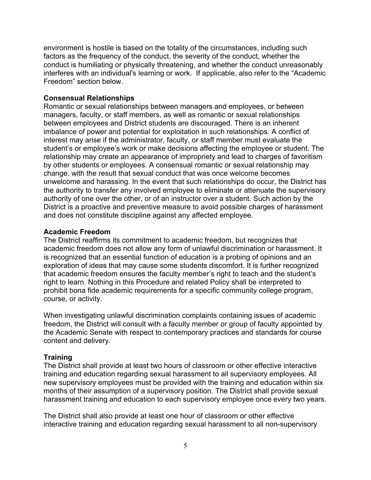environment is hostile is based on the totality of the circumstances, including such factors as the frequency of the conduct, the severity of the conduct, whether the conduct is humiliating or physically threatening, and whether the conduct unreasonably interferes with an individual's learning or work. If applicable, also refer to the "Academic Freedom" section below.

### **Consensual Relationships**

Romantic or sexual relationships between managers and employees, or between managers, faculty, or staff members, as well as romantic or sexual relationships between employees and District students are discouraged. There is an inherent imbalance of power and potential for exploitation in such relationships. A conflict of interest may arise if the administrator, faculty, or staff member must evaluate the student's or employee's work or make decisions affecting the employee or student. The relationship may create an appearance of impropriety and lead to charges of favoritism by other students or employees. A consensual romantic or sexual relationship may change, with the result that sexual conduct that was once welcome becomes unwelcome and harassing. In the event that such relationships do occur, the District has the authority to transfer any involved employee to eliminate or attenuate the supervisory authority of one over the other, or of an instructor over a student. Such action by the District is a proactive and preventive measure to avoid possible charges of harassment and does not constitute discipline against any affected employee.

### **Academic Freedom**

The District reaffirms its commitment to academic freedom, but recognizes that academic freedom does not allow any form of unlawful discrimination or harassment. It is recognized that an essential function of education is a probing of opinions and an exploration of ideas that may cause some students discomfort. It is further recognized that academic freedom ensures the faculty member's right to teach and the student's right to learn. Nothing in this Procedure and related Policy shall be interpreted to prohibit bona fide academic requirements for a specific community college program, course, or activity.

When investigating unlawful discrimination complaints containing issues of academic freedom, the District will consult with a faculty member or group of faculty appointed by the Academic Senate with respect to contemporary practices and standards for course content and delivery.

## **Training**

The District shall provide at least two hours of classroom or other effective interactive training and education regarding sexual harassment to all supervisory employees. All new supervisory employees must be provided with the training and education within six months of their assumption of a supervisory position. The District shall provide sexual harassment training and education to each supervisory employee once every two years.

The District shall also provide at least one hour of classroom or other effective interactive training and education regarding sexual harassment to all non-supervisory